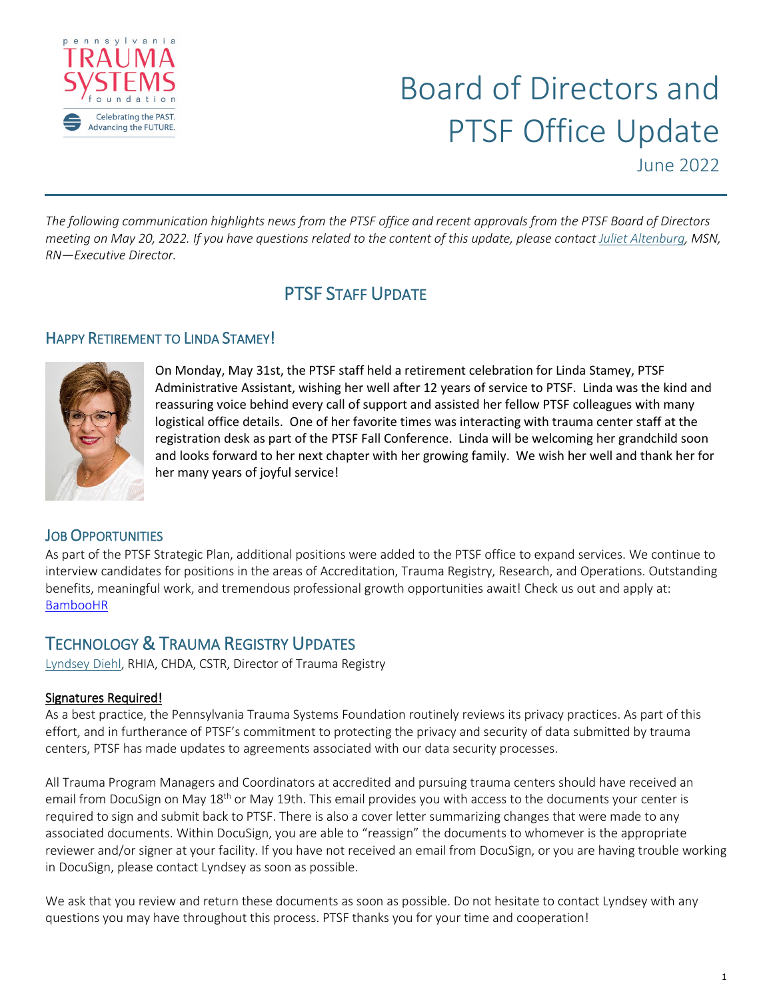

*The following communication highlights news from the PTSF office and recent approvals from the PTSF Board of Directors meeting on May 20, 2022. If you have questions related to the content of this update, please contact [Juliet Altenburg,](mailto:jaltenburg@ptsf.org) MSN, RN—Executive Director.*

## PTSF STAFF UPDATE

### HAPPY RETIREMENT TO LINDA STAMEY!



On Monday, May 31st, the PTSF staff held a retirement celebration for Linda Stamey, PTSF Administrative Assistant, wishing her well after 12 years of service to PTSF. Linda was the kind and reassuring voice behind every call of support and assisted her fellow PTSF colleagues with many logistical office details. One of her favorite times was interacting with trauma center staff at the registration desk as part of the PTSF Fall Conference. Linda will be welcoming her grandchild soon and looks forward to her next chapter with her growing family. We wish her well and thank her for her many years of joyful service!

### **JOB OPPORTUNITIES**

As part of the PTSF Strategic Plan, additional positions were added to the PTSF office to expand services. We continue to interview candidates for positions in the areas of Accreditation, Trauma Registry, Research, and Operations. Outstanding benefits, meaningful work, and tremendous professional growth opportunities await! Check us out and apply at: [BambooHR](https://ptsf.bamboohr.com/jobs/)

# TECHNOLOGY & TRAUMA REGISTRY UPDATES<br>[Lyndsey Diehl,](mailto:ldiehl@ptsf.org) RHIA, CHDA, CSTR, Director of Trauma Registry

#### Signatures Required!

As a best practice, the Pennsylvania Trauma Systems Foundation routinely reviews its privacy practices. As part of this effort, and in furtherance of PTSF's commitment to protecting the privacy and security of data submitted by trauma centers, PTSF has made updates to agreements associated with our data security processes.

All Trauma Program Managers and Coordinators at accredited and pursuing trauma centers should have received an email from DocuSign on May 18<sup>th</sup> or May 19th. This email provides you with access to the documents your center is required to sign and submit back to PTSF. There is also a cover letter summarizing changes that were made to any associated documents. Within DocuSign, you are able to "reassign" the documents to whomever is the appropriate reviewer and/or signer at your facility. If you have not received an email from DocuSign, or you are having trouble working in DocuSign, please contact Lyndsey as soon as possible.

We ask that you review and return these documents as soon as possible. Do not hesitate to contact Lyndsey with any questions you may have throughout this process. PTSF thanks you for your time and cooperation!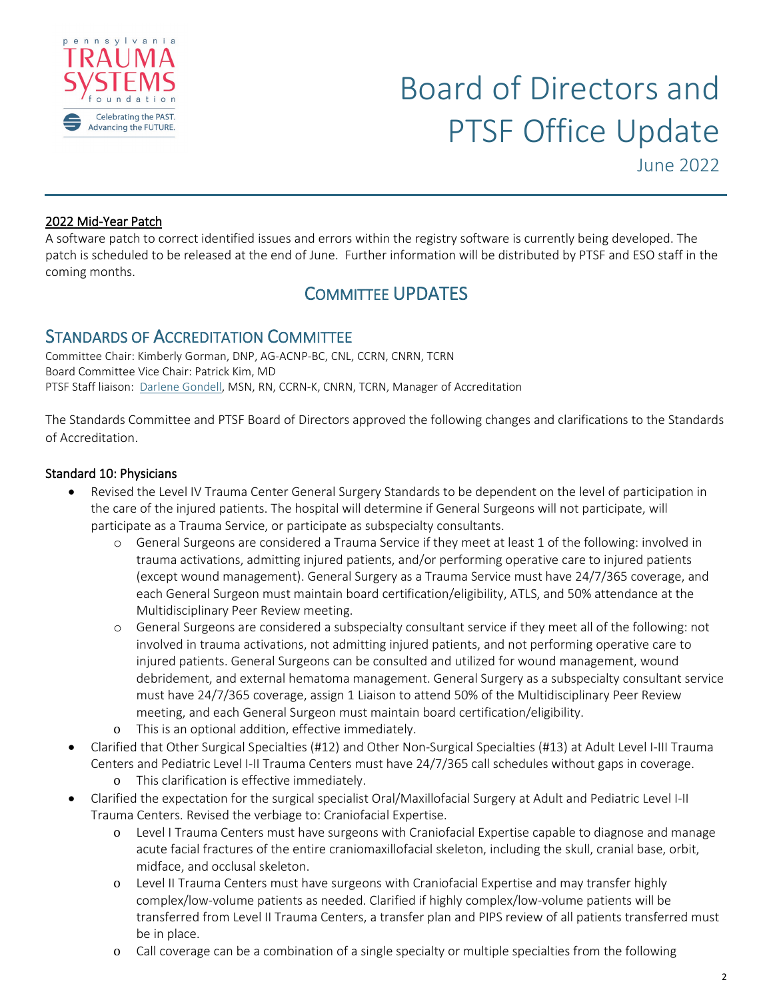

#### 2022 Mid-Year Patch

A software patch to correct identified issues and errors within the registry software is currently being developed. The patch is scheduled to be released at the end of June. Further information will be distributed by PTSF and ESO staff in the coming months.

### COMMITTEE UPDATES

STANDARDS OF ACCREDITATION COMMITTEE Committee Chair: Kimberly Gorman, DNP, AG-ACNP-BC, CNL, CCRN, CNRN, TCRN Board Committee Vice Chair: Patrick Kim, MD PTSF Staff liaison: [Darlene Gondell,](mailto:dgondell@ptsf.org) MSN, RN, CCRN-K, CNRN, TCRN, Manager of Accreditation

The Standards Committee and PTSF Board of Directors approved the following changes and clarifications to the Standards of Accreditation.

#### Standard 10: Physicians

- Revised the Level IV Trauma Center General Surgery Standards to be dependent on the level of participation in the care of the injured patients. The hospital will determine if General Surgeons will not participate, will participate as a Trauma Service, or participate as subspecialty consultants.
	- o General Surgeons are considered a Trauma Service if they meet at least 1 of the following: involved in trauma activations, admitting injured patients, and/or performing operative care to injured patients (except wound management). General Surgery as a Trauma Service must have 24/7/365 coverage, and each General Surgeon must maintain board certification/eligibility, ATLS, and 50% attendance at the Multidisciplinary Peer Review meeting.
	- o General Surgeons are considered a subspecialty consultant service if they meet all of the following: not involved in trauma activations, not admitting injured patients, and not performing operative care to injured patients. General Surgeons can be consulted and utilized for wound management, wound debridement, and external hematoma management. General Surgery as a subspecialty consultant service must have 24/7/365 coverage, assign 1 Liaison to attend 50% of the Multidisciplinary Peer Review meeting, and each General Surgeon must maintain board certification/eligibility.
	- o This is an optional addition, effective immediately.
- Clarified that Other Surgical Specialties (#12) and Other Non-Surgical Specialties (#13) at Adult Level I-III Trauma Centers and Pediatric Level I-II Trauma Centers must have 24/7/365 call schedules without gaps in coverage.
	- o This clarification is effective immediately.
- Clarified the expectation for the surgical specialist Oral/Maxillofacial Surgery at Adult and Pediatric Level I-II Trauma Centers. Revised the verbiage to: Craniofacial Expertise.
	- o Level I Trauma Centers must have surgeons with Craniofacial Expertise capable to diagnose and manage acute facial fractures of the entire craniomaxillofacial skeleton, including the skull, cranial base, orbit, midface, and occlusal skeleton.
	- o Level II Trauma Centers must have surgeons with Craniofacial Expertise and may transfer highly complex/low-volume patients as needed. Clarified if highly complex/low-volume patients will be transferred from Level II Trauma Centers, a transfer plan and PIPS review of all patients transferred must be in place.
	- o Call coverage can be a combination of a single specialty or multiple specialties from the following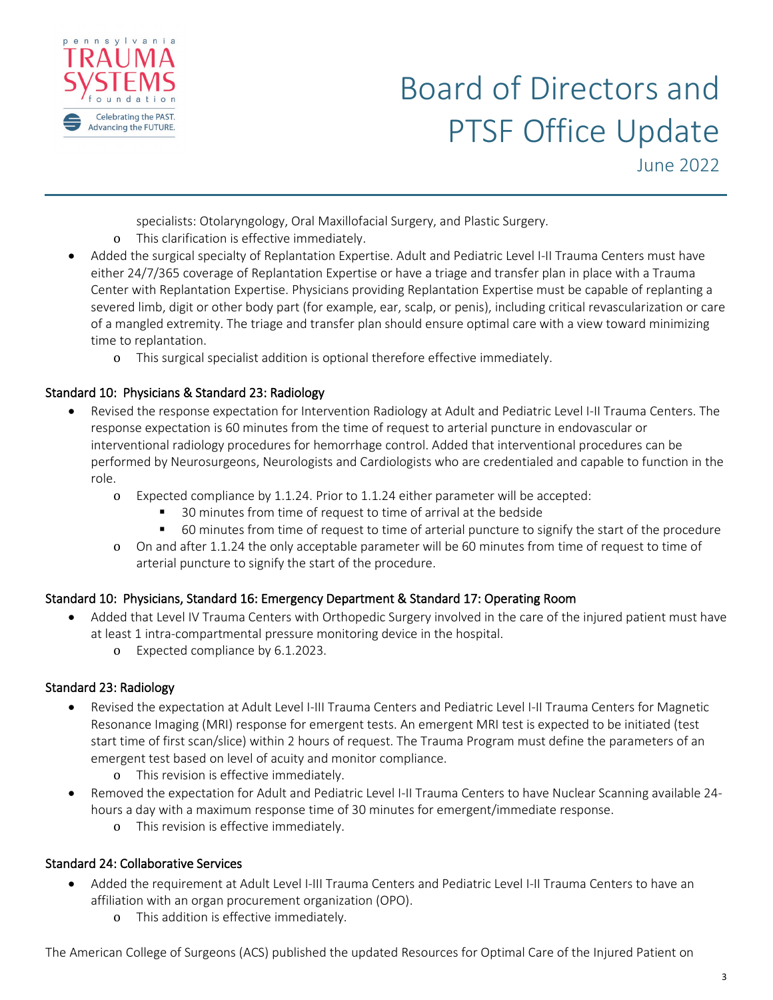

specialists: Otolaryngology, Oral Maxillofacial Surgery, and Plastic Surgery.

- o This clarification is effective immediately.
- Added the surgical specialty of Replantation Expertise. Adult and Pediatric Level I-II Trauma Centers must have either 24/7/365 coverage of Replantation Expertise or have a triage and transfer plan in place with a Trauma Center with Replantation Expertise. Physicians providing Replantation Expertise must be capable of replanting a severed limb, digit or other body part (for example, ear, scalp, or penis), including critical revascularization or care of a mangled extremity. The triage and transfer plan should ensure optimal care with a view toward minimizing time to replantation.
	- o This surgical specialist addition is optional therefore effective immediately.

### Standard 10: Physicians & Standard 23: Radiology

- Revised the response expectation for Intervention Radiology at Adult and Pediatric Level I-II Trauma Centers. The response expectation is 60 minutes from the time of request to arterial puncture in endovascular or interventional radiology procedures for hemorrhage control. Added that interventional procedures can be performed by Neurosurgeons, Neurologists and Cardiologists who are credentialed and capable to function in the role.
	- o Expected compliance by 1.1.24. Prior to 1.1.24 either parameter will be accepted:
		- 30 minutes from time of request to time of arrival at the bedside
		- 60 minutes from time of request to time of arterial puncture to signify the start of the procedure
	- o On and after 1.1.24 the only acceptable parameter will be 60 minutes from time of request to time of arterial puncture to signify the start of the procedure.

### Standard 10: Physicians, Standard 16: Emergency Department & Standard 17: Operating Room

- Added that Level IV Trauma Centers with Orthopedic Surgery involved in the care of the injured patient must have at least 1 intra-compartmental pressure monitoring device in the hospital.
	- o Expected compliance by 6.1.2023.

### Standard 23: Radiology

- Revised the expectation at Adult Level I-III Trauma Centers and Pediatric Level I-II Trauma Centers for Magnetic Resonance Imaging (MRI) response for emergent tests. An emergent MRI test is expected to be initiated (test start time of first scan/slice) within 2 hours of request. The Trauma Program must define the parameters of an emergent test based on level of acuity and monitor compliance.
	- o This revision is effective immediately.
- Removed the expectation for Adult and Pediatric Level I-II Trauma Centers to have Nuclear Scanning available 24 hours a day with a maximum response time of 30 minutes for emergent/immediate response.
	- o This revision is effective immediately.

### Standard 24: Collaborative Services

- Added the requirement at Adult Level I-III Trauma Centers and Pediatric Level I-II Trauma Centers to have an affiliation with an organ procurement organization (OPO).
	- o This addition is effective immediately.

The American College of Surgeons (ACS) published the updated Resources for Optimal Care of the Injured Patient on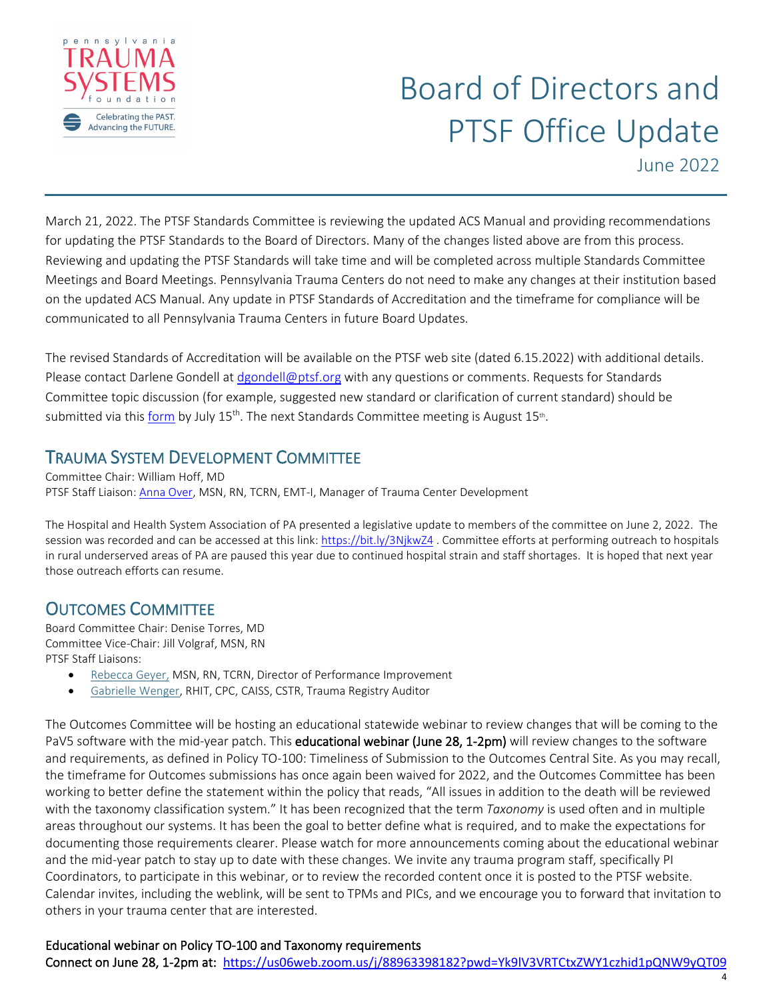

March 21, 2022. The PTSF Standards Committee is reviewing the updated ACS Manual and providing recommendations for updating the PTSF Standards to the Board of Directors. Many of the changes listed above are from this process. Reviewing and updating the PTSF Standards will take time and will be completed across multiple Standards Committee Meetings and Board Meetings. Pennsylvania Trauma Centers do not need to make any changes at their institution based on the updated ACS Manual. Any update in PTSF Standards of Accreditation and the timeframe for compliance will be communicated to all Pennsylvania Trauma Centers in future Board Updates.

The revised Standards of Accreditation will be available on the PTSF web site (dated 6.15.2022) with additional details. Please contact Darlene Gondell at [dgondell@ptsf.org](mailto:dgondell@ptsf.org) with any questions or comments. Requests for Standards Committee topic discussion (for example, suggested new standard or clarification of current standard) should be submitted via this [form](https://forms.office.com/Pages/ResponsePage.aspx?id=ai2fLWbMJUejZ0DMQVpLDGLPxMlLgOdCpStY8DFR-rhUNEg0UlNNREFNOFJOTE9aT1hOQTFJVDFITC4u) by July  $15^{th}$ . The next Standards Committee meeting is August  $15^{th}$ .

## TRAUMA SYSTEM DEVELOPMENT COMMITTEE Committee Chair: William Hoff, MD

PTSF Staff Liaison[: Anna Over,](mailto:aover@ptsf.org) MSN, RN, TCRN, EMT-I, Manager of Trauma Center Development

The Hospital and Health System Association of PA presented a legislative update to members of the committee on June 2, 2022. The session was recorded and can be accessed at this link[: https://bit.ly/3NjkwZ4](https://bit.ly/3NjkwZ4). Committee efforts at performing outreach to hospitals in rural underserved areas of PA are paused this year due to continued hospital strain and staff shortages. It is hoped that next year those outreach efforts can resume.

# **OUTCOMES COMMITTEE**<br>Board Committee Chair: Denise Torres, MD

Committee Vice-Chair: Jill Volgraf, MSN, RN PTSF Staff Liaisons:

- [Rebecca Geyer,](mailto:rgeyer@ptsf.org) MSN, RN, TCRN, Director of Performance Improvement
- [Gabrielle Wenger,](mailto:gwenger@ptsf.org) RHIT, CPC, CAISS, CSTR, Trauma Registry Auditor

The Outcomes Committee will be hosting an educational statewide webinar to review changes that will be coming to the PaV5 software with the mid-year patch. This educational webinar (June 28, 1-2pm) will review changes to the software and requirements, as defined in Policy TO-100: Timeliness of Submission to the Outcomes Central Site. As you may recall, the timeframe for Outcomes submissions has once again been waived for 2022, and the Outcomes Committee has been working to better define the statement within the policy that reads, "All issues in addition to the death will be reviewed with the taxonomy classification system." It has been recognized that the term *Taxonomy* is used often and in multiple areas throughout our systems. It has been the goal to better define what is required, and to make the expectations for documenting those requirements clearer. Please watch for more announcements coming about the educational webinar and the mid-year patch to stay up to date with these changes. We invite any trauma program staff, specifically PI Coordinators, to participate in this webinar, or to review the recorded content once it is posted to the PTSF website. Calendar invites, including the weblink, will be sent to TPMs and PICs, and we encourage you to forward that invitation to others in your trauma center that are interested.

### Educational webinar on Policy TO-100 and Taxonomy requirements

Connect on June 28, 1-2pm at: <https://us06web.zoom.us/j/88963398182?pwd=Yk9lV3VRTCtxZWY1czhid1pQNW9yQT09>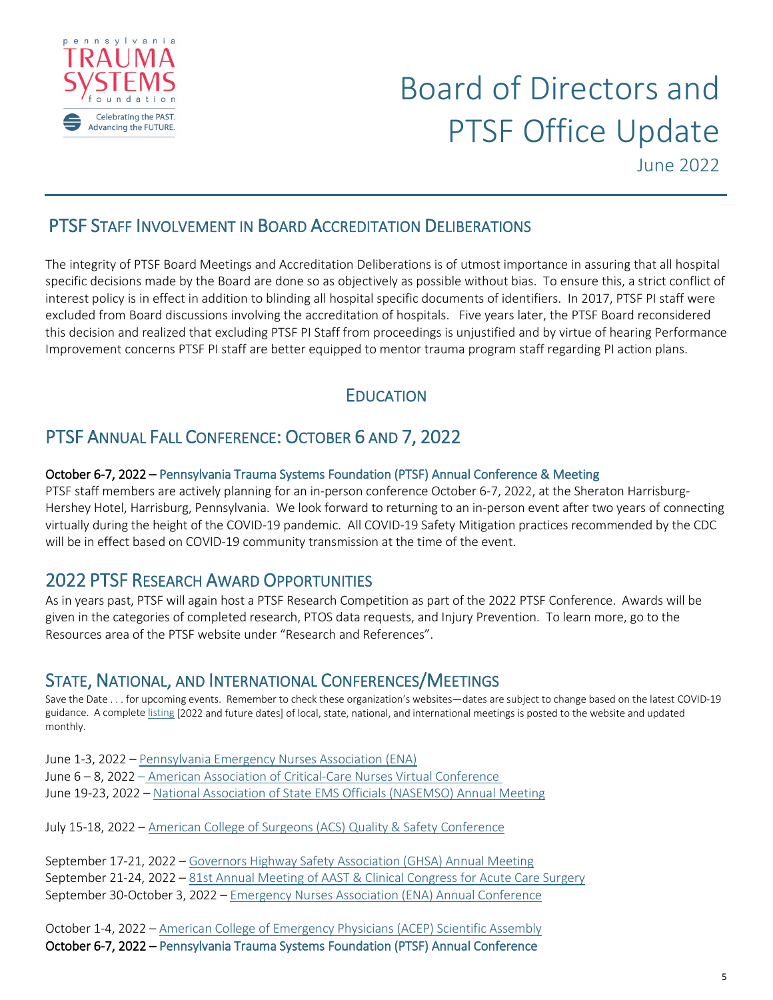

### PTSF STAFF INVOLVEMENT IN BOARD ACCREDITATION DELIBERATIONS

The integrity of PTSF Board Meetings and Accreditation Deliberations is of utmost importance in assuring that all hospital specific decisions made by the Board are done so as objectively as possible without bias. To ensure this, a strict conflict of interest policy is in effect in addition to blinding all hospital specific documents of identifiers. In 2017, PTSF PI staff were excluded from Board discussions involving the accreditation of hospitals. Five years later, the PTSF Board reconsidered this decision and realized that excluding PTSF PI Staff from proceedings is unjustified and by virtue of hearing Performance Improvement concerns PTSF PI staff are better equipped to mentor trauma program staff regarding PI action plans.

### **EDUCATION**

### PTSF ANNUAL FALL CONFERENCE: OCTOBER 6 AND 7, 2022

#### October 6-7, 2022 – Pennsylvania Trauma Systems Foundation (PTSF) Annual Conference & Meeting

PTSF staff members are actively planning for an in-person conference October 6-7, 2022, at the Sheraton Harrisburg-Hershey Hotel, Harrisburg, Pennsylvania. We look forward to returning to an in-person event after two years of connecting virtually during the height of the COVID-19 pandemic. All COVID-19 Safety Mitigation practices recommended by the CDC will be in effect based on COVID-19 community transmission at the time of the event.

2022 PTSF RESEARCH AWARD OPPORTUNITIES<br>As in years past, PTSF will again host a PTSF Research Competition as part of the 2022 PTSF Conference. Awards will be given in the categories of completed research, PTOS data requests, and Injury Prevention. To learn more, go to the Resources area of the PTSF website under "Research and References".

STATE, NATIONAL, AND INTERNATIONAL CONFERENCES/MEETINGS<br>Save the Date . . . for upcoming events. Remember to check these organization's websites—dates are subject to change based on the latest COVID-19 guidance. A complet[e listing](https://www.ptsf.org/wp-content/uploads/2021/11/2021-2031-BY-EVENT-State-National-Meetings-Conferences-12.01.2021.pdf) [2022 and future dates] of local, state, national, and international meetings is posted to the website and updated monthly.

June 1-3, 2022 – [Pennsylvania Emergency Nurses Association \(ENA\)](https://connect.ena.org/pa/events/new-page2) June 6 – 8, 2022 – American Association of Critical-Care Nurses Virtual Conference June 19-23, 2022 – [National Association of State EMS Officials \(NASEMSO\) Annual Meeting](https://nasemso.org/news-events/meetings/)

July 15-18, 2022 – [American College of Surgeons \(ACS\) Quality & Safety Conference](https://www.facs.org/quality-programs/quality-safety-conference)

September 17-21, 2022 – [Governors Highway Safety Association \(GHSA\) Annual Meeting](https://www.ghsa.org/events/Future-Annual-Meetings) September 21-24, 2022 – [81st Annual Meeting of AAST & Clinical Congress for Acute Care Surgery](https://www.aast.org/annual-meeting/2022-annual-meeting) September 30-October 3, 2022 – [Emergency Nurses Association \(ENA\) Annual Conference](https://www.ena.org/events/emergency-nursing-2021#en22)

October 1-4, 2022 – [American College of Emergency Physicians \(ACEP\) Scientific Assembly](https://www.acep.org/sa/) October 6-7, 2022 – Pennsylvania Trauma Systems Foundation (PTSF) Annual Conference